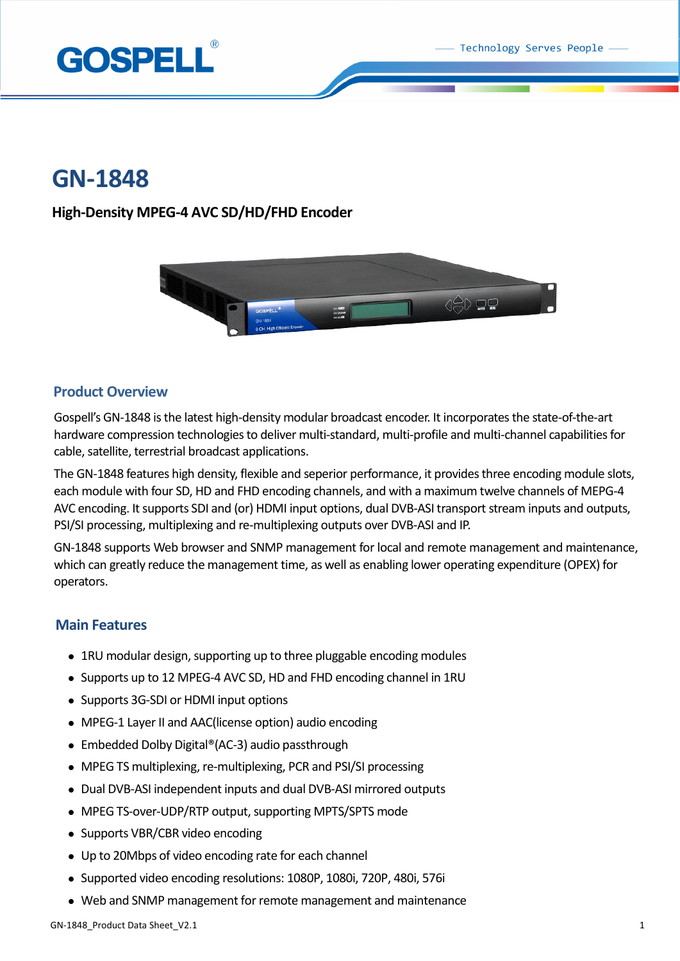Technology Serves People



# **GN-1848**

### **High-Density MPEG-4 AVC SD/HD/FHD Encoder**



### **Product Overview**

Gospell's GN-1848 is the latest high-density modular broadcast encoder. It incorporates the state-of-the-art hardware compression technologies to deliver multi-standard, multi-profile and multi-channel capabilities for cable, satellite, terrestrial broadcast applications.

The GN-1848 features high density, flexible and seperior performance, it provides three encoding module slots, each module with four SD, HD and FHD encoding channels, and with a maximum twelve channels of MEPG-4 AVC encoding. It supports SDI and (or) HDMI input options, dual DVB-ASI transport stream inputs and outputs, PSI/SI processing, multiplexing and re-multiplexing outputs over DVB-ASI and IP.

GN-1848 supports Web browser and SNMP management for local and remote management and maintenance, which can greatly reduce the management time, as well as enabling lower operating expenditure (OPEX) for operators.

### **Main Features**

- 1RU modular design, supporting up to three pluggable encoding modules
- Supports up to 12 MPEG-4 AVC SD, HD and FHD encoding channel in 1RU
- Supports 3G-SDI or HDMI input options
- MPEG-1 Layer II and AAC(license option) audio encoding
- Embedded Dolby Digital®(AC-3) audio passthrough
- MPEG TS multiplexing, re-multiplexing, PCR and PSI/SI processing
- Dual DVB-ASI independent inputs and dual DVB-ASI mirrored outputs
- MPEG TS-over-UDP/RTP output, supporting MPTS/SPTS mode
- Supports VBR/CBR video encoding
- Up to 20Mbps of video encoding rate for each channel
- Supported video encoding resolutions: 1080P, 1080i, 720P, 480i, 576i
- Web and SNMP management for remote management and maintenance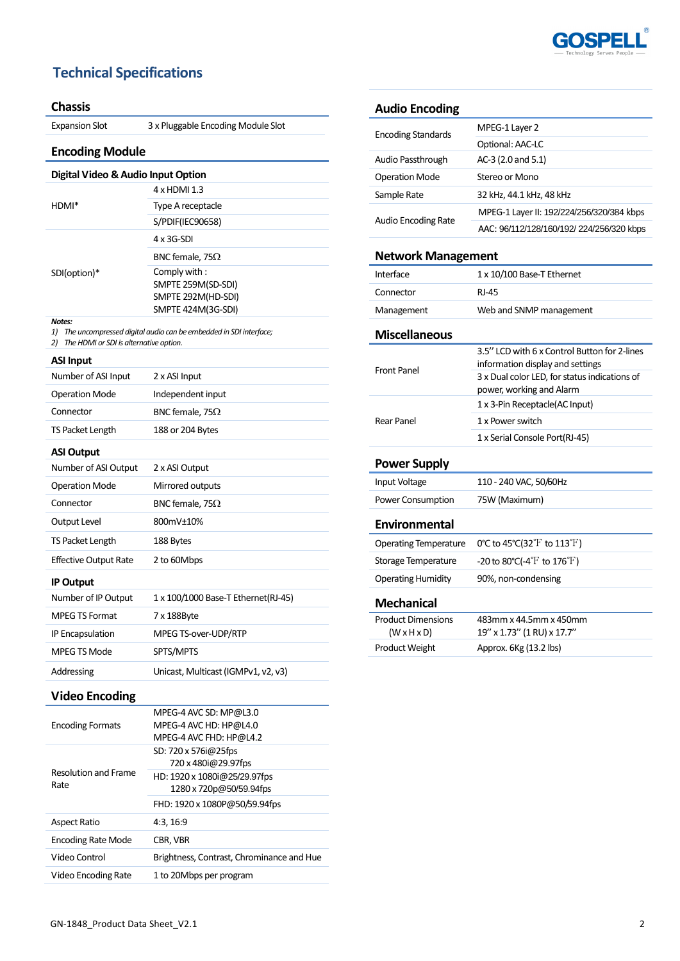

## **Technical Specifications**

#### **Chassis**

Expansion Slot 3 x Pluggable Encoding Module Slot

### **Encoding Module**

| Digital Video & Audio Input Option |                         |
|------------------------------------|-------------------------|
| HDMI*                              | 4 x HDMI 1.3            |
|                                    | Type A receptacle       |
|                                    | S/PDIF(IEC90658)        |
| SDI(option)*                       | $4 \times 3G-SDI$       |
|                                    | BNC female, 75 $\Omega$ |
|                                    | Comply with:            |
|                                    | SMPTE 259M(SD-SDI)      |
|                                    | SMPTE 292M(HD-SDI)      |
|                                    | SMPTE 424M(3G-SDI)      |
| <b>Notes:</b>                      |                         |

*1) The uncompressed digital audio can be embedded in SDI interface;*

| 2) The HDMI or SDI is alternative option. |
|-------------------------------------------|
|                                           |

| <b>ASI Input</b>             |                                     |
|------------------------------|-------------------------------------|
| Number of ASI Input          | 2 x ASI Input                       |
| <b>Operation Mode</b>        | Independent input                   |
| Connector                    | BNC female, 75 $\Omega$             |
| <b>TS Packet Length</b>      | 188 or 204 Bytes                    |
| <b>ASI Output</b>            |                                     |
| Number of ASI Output         | 2 x ASI Output                      |
| <b>Operation Mode</b>        | Mirrored outputs                    |
| Connector                    | BNC female, 75 $\Omega$             |
| Output Level                 | 800mV±10%                           |
| TS Packet Length             | 188 Bytes                           |
| <b>Effective Output Rate</b> | 2 to 60Mbps                         |
| <b>IP Output</b>             |                                     |
| Number of IP Output          | 1 x 100/1000 Base-T Ethernet(RJ-45) |
| <b>MPEG TS Format</b>        | 7 x 188Byte                         |
| IP Encapsulation             | MPEG TS-over-UDP/RTP                |
| MPEG TS Mode                 | SPTS/MPTS                           |
| Addressing                   | Unicast, Multicast (IGMPv1, v2, v3) |

# **Video Encoding**

| <b>Encoding Formats</b>             | MPEG-4 AVC SD: MP@L3.0<br>MPEG-4 AVC HD: HP@L4.0<br>MPEG-4 AVC FHD: HP@L4.2 |
|-------------------------------------|-----------------------------------------------------------------------------|
| <b>Resolution and Frame</b><br>Rate | SD: 720 x 576 @ 25 fps<br>720 x 480i@29.97fps                               |
|                                     | HD: 1920 x 1080i@25/29.97fps<br>1280 x 720p@50/59.94fps                     |
|                                     | FHD: 1920 x 1080P@50/59.94fps                                               |
| <b>Aspect Ratio</b>                 | 4:3, 16:9                                                                   |
| <b>Encoding Rate Mode</b>           | CBR, VBR                                                                    |
| Video Control                       | Brightness, Contrast, Chrominance and Hue                                   |
| Video Encoding Rate                 | 1 to 20Mbps per program                                                     |

### **Audio Encoding**

| <b>Encoding Standards</b>  | MPEG-1 Layer 2                            |
|----------------------------|-------------------------------------------|
|                            | Optional: AAC-LC                          |
| Audio Passthrough          | AC-3 (2.0 and 5.1)                        |
| <b>Operation Mode</b>      | Stereo or Mono                            |
| Sample Rate                | 32 kHz, 44.1 kHz, 48 kHz                  |
| <b>Audio Encoding Rate</b> | MPEG-1 Layer II: 192/224/256/320/384 kbps |
|                            | AAC: 96/112/128/160/192/ 224/256/320 kbps |

#### **Network Management**

| Interface                    | 1 x 10/100 Base-T Ethernet                    |
|------------------------------|-----------------------------------------------|
| Connector                    | <b>RJ-45</b>                                  |
| Management                   | Web and SNMP management                       |
| <b>Miscellaneous</b>         |                                               |
|                              | 3.5" LCD with 6 x Control Button for 2-lines  |
| <b>Front Panel</b>           | information display and settings              |
|                              | 3 x Dual color LED, for status indications of |
|                              | power, working and Alarm                      |
|                              | 1 x 3-Pin Receptacle(AC Input)                |
| Rear Panel                   | 1 x Power switch                              |
|                              | 1 x Serial Console Port(RJ-45)                |
| <b>Power Supply</b>          |                                               |
| Input Voltage                | 110 - 240 VAC, 50/60Hz                        |
| <b>Power Consumption</b>     | 75W (Maximum)                                 |
| <b>Environmental</b>         |                                               |
| <b>Operating Temperature</b> | 0°C to 45°C(32°F to 113°F)                    |
| Storage Temperature          | -20 to 80°C(-4 $\rm{F}$ to 176 $\rm{F}$ )     |
| <b>Operating Humidity</b>    | 90%, non-condensing                           |
| <b>Mechanical</b>            |                                               |
| <b>Product Dimensions</b>    | 483mm x 44.5mm x 450mm                        |
| $(W \times H \times D)$      | 19" x 1.73" (1 RU) x 17.7"                    |
| <b>Product Weight</b>        | Approx. 6Kg (13.2 lbs)                        |
|                              |                                               |